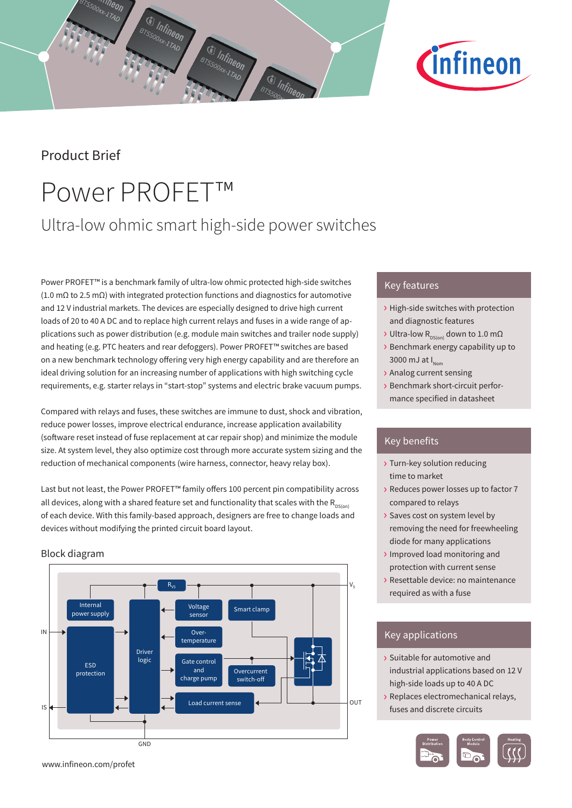# Block diagram

Product Brief

Power PROFET™

<sup>7eon</sup>

Infineon

Ultra-low ohmic smart high-side power switches

(s) Infineo

Power PROFET™ is a benchmark family of ultra-low ohmic protected high-side switches (1.0 mΩ to 2.5 mΩ) with integrated protection functions and diagnostics for automotive and 12 V industrial markets. The devices are especially designed to drive high current loads of 20 to 40 A DC and to replace high current relays and fuses in a wide range of applications such as power distribution (e.g. module main switches and trailer node supply) and heating (e.g. PTC heaters and rear defoggers). Power PROFET™ switches are based on a new benchmark technology offering very high energy capability and are therefore an ideal driving solution for an increasing number of applications with high switching cycle requirements, e.g. starter relays in "start-stop" systems and electric brake vacuum pumps.

Compared with relays and fuses, these switches are immune to dust, shock and vibration, reduce power losses, improve electrical endurance, increase application availability (software reset instead of fuse replacement at car repair shop) and minimize the module size. At system level, they also optimize cost through more accurate system sizing and the

Last but not least, the Power PROFET™ family offers 100 percent pin compatibility across all devices, along with a shared feature set and functionality that scales with the  $R_{DS(on)}$ of each device. With this family-based approach, designers are free to change loads and

reduction of mechanical components (wire harness, connector, heavy relay box).

devices without modifying the printed circuit board layout.



# Key features

- › High-side switches with protection and diagnostic features
- $\rightarrow$  Ultra-low R<sub>DS(on)</sub> down to 1.0 mΩ
- › Benchmark energy capability up to 3000 mJ at  $I_{Norm}$
- › Analog current sensing
- › Benchmark short-circuit performance specified in datasheet

## Key benefits

- › Turn-key solution reducing time to market
- › Reduces power losses up to factor 7 compared to relays
- › Saves cost on system level by removing the need for freewheeling diode for many applications
- › Improved load monitoring and protection with current sense
- › Resettable device: no maintenance required as with a fuse

# Key applications

- › Suitable for automotive and industrial applications based on 12 V high-side loads up to 40 A DC
- › Replaces electromechanical relays, fuses and discrete circuits